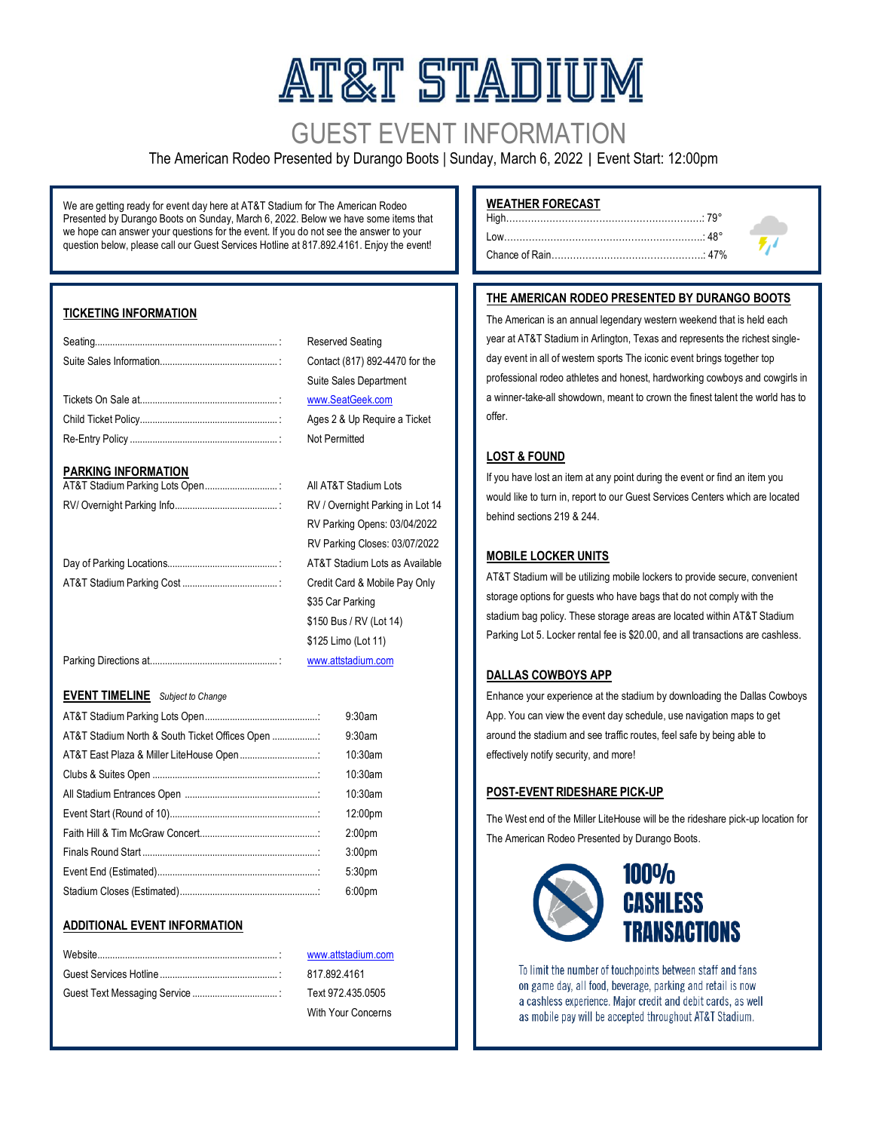# AT&T STADIUM

# GUEST EVENT INFORMATION

#### The American Rodeo Presented by Durango Boots | Sunday, March 6, 2022 | Event Start: 12:00pm

We are getting ready for event day here at AT&T Stadium for The American Rodeo Presented by Durango Boots on Sunday, March 6, 2022. Below we have some items that we hope can answer your questions for the event. If you do not see the answer to your question below, please call our Guest Services Hotline at 817.892.4161. Enjoy the event!

#### **TICKETING INFORMATION**

#### **PARKING INFORMATION**

| AT&T Stadium Parking Lots Open |  |
|--------------------------------|--|
|                                |  |

#### **EVENT TIMELINE** *Subject to Change*

|                                                | $9:30$ am          |
|------------------------------------------------|--------------------|
| AT&T Stadium North & South Ticket Offices Open | $9:30$ am          |
| AT&T East Plaza & Miller LiteHouse Open        | $10:30$ am         |
|                                                | $10:30$ am         |
|                                                | $10:30$ am         |
|                                                | 12:00pm            |
|                                                | 2:00 <sub>pm</sub> |
|                                                | 3:00 <sub>pm</sub> |
|                                                | 5:30pm             |
|                                                | 6:00 <sub>pm</sub> |

#### **ADDITIONAL EVENT INFORMATION**

#### RV Parking Opens: 03/04/2022 RV Parking Closes: 03/07/2022 ....: AT&T Stadium Lots as Available ....: Credit Card & Mobile Pay Only \$35 Car Parking

RV / Overnight Parking in Lot 14

\$150 Bus / RV (Lot 14) \$125 Limo (Lot 11)

Reserved Seating.

**Not Permitted** 

All AT&T Stadium Lots

Contact (817) 892-4470 for the Suite Sales Department [www.SeatGeek.com](http://www.seatgeek.com/) Ages 2 & Up Require a Ticket

[www.attstadium.com](http://www.attstadium.com/)

[www.attstadium.com](http://www.attstadium.com/) B<sub>17.892.4161</sub> Text 972.435.0505 With Your Concerns

**WEATHER FORECAST**

#### **THE AMERICAN RODEO PRESENTED BY DURANGO BOOTS**

High………………………………………………………: 79°

The American is an annual legendary western weekend that is held each year at AT&T Stadium in Arlington, Texas and represents the richest singleday event in all of western sports The iconic event brings together top professional rodeo athletes and honest, hardworking cowboys and cowgirls in a winner-take-all showdown, meant to crown the finest talent the world has to offer.

#### **LOST & FOUND**

If you have lost an item at any point during the event or find an item you would like to turn in, report to our Guest Services Centers which are located behind sections 219 & 244.

#### **MOBILE LOCKER UNITS**

AT&T Stadium will be utilizing mobile lockers to provide secure, convenient storage options for guests who have bags that do not comply with the stadium bag policy. These storage areas are located within AT&T Stadium Parking Lot 5. Locker rental fee is \$20.00, and all transactions are cashless.

#### **DALLAS COWBOYS APP**

Enhance your experience at the stadium by downloading the Dallas Cowboys App. You can view the event day schedule, use navigation maps to get around the stadium and see traffic routes, feel safe by being able to effectively notify security, and more!

#### **POST-EVENT RIDESHARE PICK-UP**

The West end of the Miller LiteHouse will be the rideshare pick-up location for The American Rodeo Presented by Durango Boots.



To limit the number of touchpoints between staff and fans on game day, all food, beverage, parking and retail is now a cashless experience. Major credit and debit cards, as well as mobile pay will be accepted throughout AT&T Stadium.